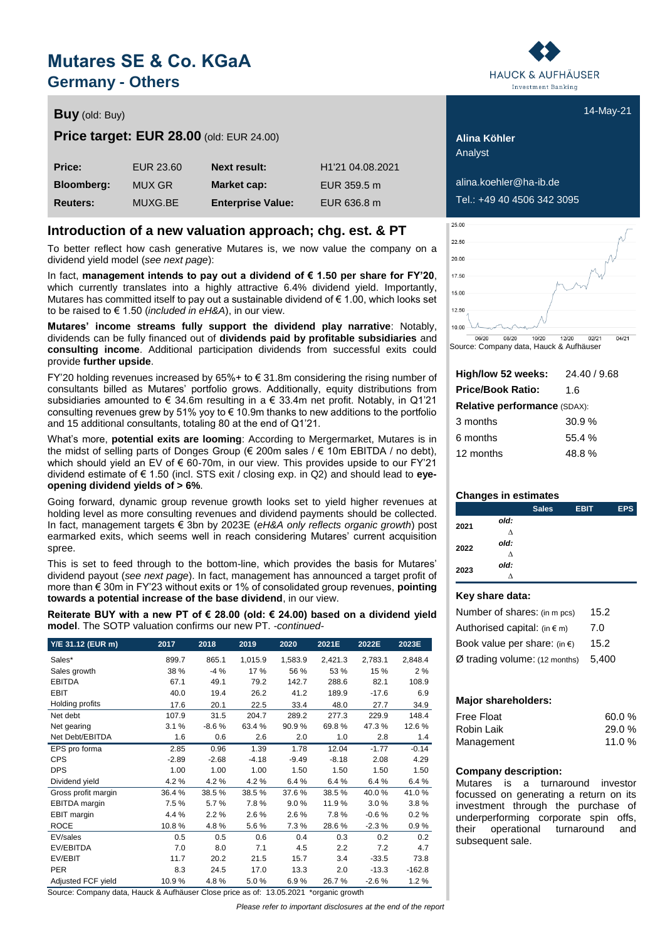# **Mutares SE & Co. KGaA Germany - Others**

## **Buy** 14-May-21 (old: Buy)

## **Price target: EUR 28.00** (old: EUR 24.00) **Alina Köhler**

| <b>Price:</b>     | EUR 23.60 | <b>Next result:</b>      | H <sub>1</sub> '21 04.08.2021 |
|-------------------|-----------|--------------------------|-------------------------------|
| <b>Bloomberg:</b> | MUX GR    | Market cap:              | EUR 359.5 m                   |
| <b>Reuters:</b>   | MUXG.BE   | <b>Enterprise Value:</b> | EUR 636.8 m                   |

## **Introduction of a new valuation approach; chg. est. & PT**

To better reflect how cash generative Mutares is, we now value the company on a dividend yield model (*see next page*):

In fact, **management intends to pay out a dividend of € 1.50 per share for FY'20**, which currently translates into a highly attractive 6.4% dividend yield. Importantly, Mutares has committed itself to pay out a sustainable dividend of € 1.00, which looks set to be raised to € 1.50 (*included in eH&A*), in our view.

**Mutares' income streams fully support the dividend play narrative**: Notably, dividends can be fully financed out of **dividends paid by profitable subsidiaries** and **consulting income**. Additional participation dividends from successful exits could provide **further upside**.

FY'20 holding revenues increased by  $65\%$ + to  $\epsilon$  31.8m considering the rising number of consultants billed as Mutares' portfolio grows. Additionally, equity distributions from subsidiaries amounted to  $\epsilon$  34.6m resulting in a  $\epsilon$  33.4m net profit. Notably, in Q1'21 consulting revenues grew by 51% yoy to  $\epsilon$  10.9m thanks to new additions to the portfolio and 15 additional consultants, totaling 80 at the end of Q1'21.

What's more, **potential exits are looming**: According to Mergermarket, Mutares is in the midst of selling parts of Donges Group (€ 200m sales / € 10m EBITDA / no debt), which should yield an EV of € 60-70m, in our view. This provides upside to our FY'21 dividend estimate of € 1.50 (incl. STS exit / closing exp. in Q2) and should lead to **eyeopening dividend yields of > 6%**.

Going forward, dynamic group revenue growth looks set to yield higher revenues at holding level as more consulting revenues and dividend payments should be collected. In fact, management targets € 3bn by 2023E (*eH&A only reflects organic growth*) post earmarked exits, which seems well in reach considering Mutares' current acquisition spree.

This is set to feed through to the bottom-line, which provides the basis for Mutares' dividend payout (*see next page*). In fact, management has announced a target profit of more than € 30m in FY'23 without exits or 1% of consolidated group revenues, **pointing towards a potential increase of the base dividend**, in our view.

**Reiterate BUY with a new PT of € 28.00 (old: € 24.00) based on a dividend yield model**. The SOTP valuation confirms our new PT. *-continued-*

| Y/E 31.12 (EUR m)    | 2017    | 2018    | 2019    | 2020    | 2021E   | 2022E   | 2023E    |
|----------------------|---------|---------|---------|---------|---------|---------|----------|
| Sales*               | 899.7   | 865.1   | 1,015.9 | 1,583.9 | 2,421.3 | 2,783.1 | 2,848.4  |
| Sales growth         | 38 %    | $-4%$   | 17%     | 56 %    | 53 %    | 15 %    | 2%       |
| <b>EBITDA</b>        | 67.1    | 49.1    | 79.2    | 142.7   | 288.6   | 82.1    | 108.9    |
| <b>EBIT</b>          | 40.0    | 19.4    | 26.2    | 41.2    | 189.9   | $-17.6$ | 6.9      |
| Holding profits      | 17.6    | 20.1    | 22.5    | 33.4    | 48.0    | 27.7    | 34.9     |
| Net debt             | 107.9   | 31.5    | 204.7   | 289.2   | 277.3   | 229.9   | 148.4    |
| Net gearing          | 3.1%    | $-8.6%$ | 63.4 %  | 90.9%   | 69.8%   | 47.3%   | 12.6%    |
| Net Debt/EBITDA      | 1.6     | 0.6     | 2.6     | 2.0     | 1.0     | 2.8     | 1.4      |
| EPS pro forma        | 2.85    | 0.96    | 1.39    | 1.78    | 12.04   | $-1.77$ | $-0.14$  |
| <b>CPS</b>           | $-2.89$ | $-2.68$ | $-4.18$ | $-9.49$ | $-8.18$ | 2.08    | 4.29     |
| <b>DPS</b>           | 1.00    | 1.00    | 1.00    | 1.50    | 1.50    | 1.50    | 1.50     |
| Dividend yield       | 4.2%    | 4.2%    | 4.2%    | 6.4%    | 6.4%    | 6.4%    | 6.4%     |
| Gross profit margin  | 36.4%   | 38.5%   | 38.5%   | 37.6%   | 38.5%   | 40.0%   | 41.0%    |
| <b>EBITDA</b> margin | 7.5%    | 5.7%    | 7.8%    | 9.0%    | 11.9%   | 3.0%    | 3.8%     |
| EBIT margin          | 4.4 %   | 2.2%    | 2.6%    | 2.6%    | 7.8%    | $-0.6%$ | 0.2%     |
| <b>ROCE</b>          | 10.8%   | 4.8%    | 5.6%    | 7.3%    | 28.6%   | $-2.3%$ | 0.9%     |
| EV/sales             | 0.5     | 0.5     | 0.6     | 0.4     | 0.3     | 0.2     | 0.2      |
| EV/EBITDA            | 7.0     | 8.0     | 7.1     | 4.5     | 2.2     | 7.2     | 4.7      |
| EV/EBIT              | 11.7    | 20.2    | 21.5    | 15.7    | 3.4     | $-33.5$ | 73.8     |
| <b>PER</b>           | 8.3     | 24.5    | 17.0    | 13.3    | 2.0     | $-13.3$ | $-162.8$ |
| Adjusted FCF yield   | 10.9%   | 4.8%    | 5.0%    | 6.9%    | 26.7%   | $-2.6%$ | 1.2%     |

Source: Company data, Hauck & Aufhäuser Close price as of: 13.05.2021 \*organic growth

*Please refer to important disclosures at the end of the report*



Analyst

**Bloomberg:** MUX GR **Market cap:** EUR 359.5 m alina.koehler@ha-ib.de

**Reuters:** MUXG.BE **Enterprise Value:** EUR 636.8 m Tel.: +49 40 4506 342 3095



Source: Company data, Hauck & Aufhäuser

| High/low 52 weeks:                  | 24.40 / 9.68 |
|-------------------------------------|--------------|
| <b>Price/Book Ratio:</b>            | 1.6          |
| <b>Relative performance (SDAX):</b> |              |
| 3 months                            | 30.9%        |
| 6 months                            | 55.4%        |
| 12 months                           | 48.8%        |

## **Changes in estimates**

|      |      | <b>Sales</b> | <b>EBIT</b> | <b>EPS</b> |
|------|------|--------------|-------------|------------|
| 2021 | old: |              |             |            |
|      | Δ    |              |             |            |
| 2022 | old: |              |             |            |
|      | Δ    |              |             |            |
| 2023 | old: |              |             |            |
|      | Λ    |              |             |            |

## **Key share data:**

| Number of shares: (in m pcs)           | 15.2  |
|----------------------------------------|-------|
| Authorised capital: $(in \in m)$       | 7.0   |
| Book value per share: (in $\epsilon$ ) | 15.2  |
| Ø trading volume: (12 months)          | 5.400 |

## **Major shareholders:**

| <b>Free Float</b> | 60.0%    |
|-------------------|----------|
| Robin Laik        | 29.0 %   |
| Management        | 11.0 $%$ |

## **Company description:**

Mutares is a turnaround investor focussed on generating a return on its investment through the purchase of underperforming corporate spin offs, their operational turnaround and subsequent sale.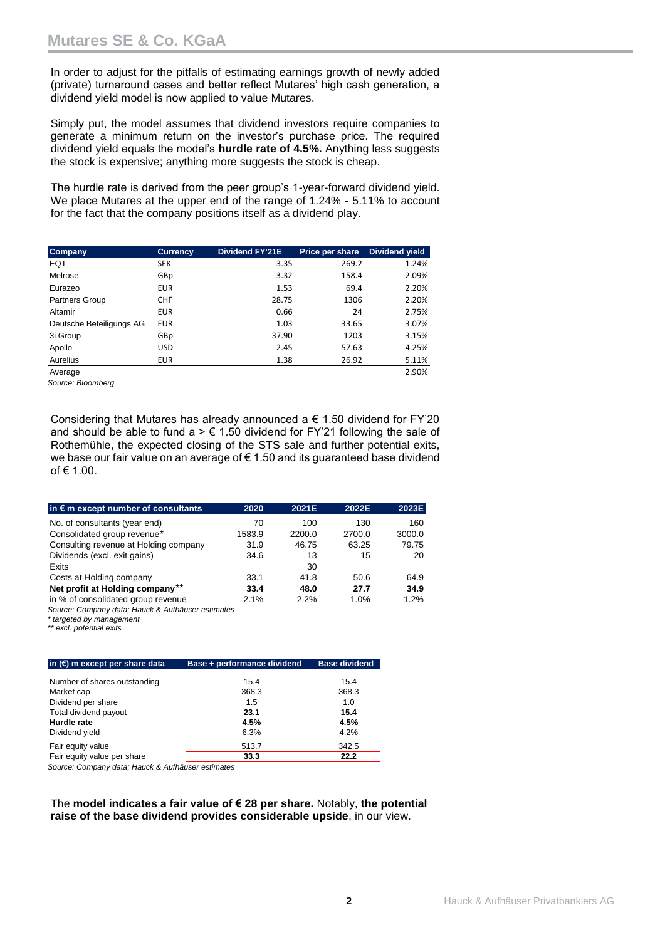In order to adjust for the pitfalls of estimating earnings growth of newly added (private) turnaround cases and better reflect Mutares' high cash generation, a dividend yield model is now applied to value Mutares.

Simply put, the model assumes that dividend investors require companies to generate a minimum return on the investor's purchase price. The required dividend yield equals the model's **hurdle rate of 4.5%.** Anything less suggests the stock is expensive; anything more suggests the stock is cheap.

The hurdle rate is derived from the peer group's 1-year-forward dividend yield. We place Mutares at the upper end of the range of 1.24% - 5.11% to account for the fact that the company positions itself as a dividend play.

| <b>Company</b>           | <b>Currency</b> | Dividend FY'21E | Price per share | Dividend yield |
|--------------------------|-----------------|-----------------|-----------------|----------------|
| <b>EQT</b>               | <b>SEK</b>      | 3.35            | 269.2           | 1.24%          |
| Melrose                  | GBp             | 3.32            | 158.4           | 2.09%          |
| Eurazeo                  | <b>EUR</b>      | 1.53            | 69.4            | 2.20%          |
| <b>Partners Group</b>    | <b>CHF</b>      | 28.75           | 1306            | 2.20%          |
| Altamir                  | <b>EUR</b>      | 0.66            | 24              | 2.75%          |
| Deutsche Beteiligungs AG | <b>EUR</b>      | 1.03            | 33.65           | 3.07%          |
| 3i Group                 | GBp             | 37.90           | 1203            | 3.15%          |
| Apollo                   | <b>USD</b>      | 2.45            | 57.63           | 4.25%          |
| Aurelius                 | <b>EUR</b>      | 1.38            | 26.92           | 5.11%          |
| Average                  |                 |                 |                 | 2.90%          |

*Source: Bloomberg*

Considering that Mutares has already announced a  $\epsilon$  1.50 dividend for FY'20 and should be able to fund a  $> \epsilon$  1.50 dividend for FY'21 following the sale of Rothemühle, the expected closing of the STS sale and further potential exits, we base our fair value on an average of € 1.50 and its guaranteed base dividend of € 1.00.

| in $\epsilon$ m except number of consultants | 2020   | 2021E  | 2022E  | 2023E  |
|----------------------------------------------|--------|--------|--------|--------|
| No. of consultants (year end)                | 70     | 100    | 130    | 160    |
| Consolidated group revenue*                  | 1583.9 | 2200.0 | 2700.0 | 3000.0 |
| Consulting revenue at Holding company        | 31.9   | 46.75  | 63.25  | 79.75  |
| Dividends (excl. exit gains)                 | 34.6   | 13     | 15     | 20     |
| Exits                                        |        | 30     |        |        |
| Costs at Holding company                     | 33.1   | 41.8   | 50.6   | 64.9   |
| Net profit at Holding company**              | 33.4   | 48.0   | 27.7   | 34.9   |
| in % of consolidated group revenue           | 2.1%   | 2.2%   | 1.0%   | 1.2%   |

*Source: Company data; Hauck & Aufhäuser estimates*

*\* targeted by management*

*\*\* excl. potential exits*

| in $(E)$ m except per share data | Base + performance dividend | <b>Base dividend</b> |
|----------------------------------|-----------------------------|----------------------|
| Number of shares outstanding     | 15.4                        | 15.4                 |
| Market cap                       | 368.3                       | 368.3                |
| Dividend per share               | 1.5                         | 1.0                  |
| Total dividend payout            | 23.1                        | 15.4                 |
| Hurdle rate                      | 4.5%                        | 4.5%                 |
| Dividend yield                   | 6.3%                        | 4.2%                 |
| Fair equity value                | 513.7                       | 342.5                |
| Fair equity value per share      | 33.3                        | 22.2                 |

*Source: Company data; Hauck & Aufhäuser estimates*

The **model indicates a fair value of € 28 per share.** Notably, **the potential raise of the base dividend provides considerable upside**, in our view.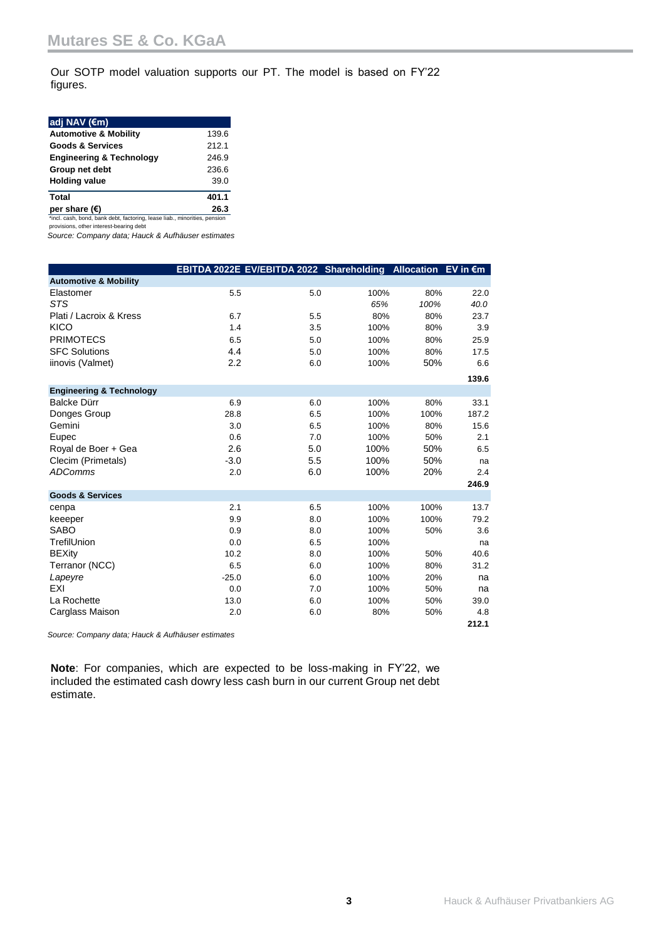Our SOTP model valuation supports our PT. The model is based on FY'22 figures.

| adj NAV $(\epsilon m)$              |       |
|-------------------------------------|-------|
| <b>Automotive &amp; Mobility</b>    | 139.6 |
| <b>Goods &amp; Services</b>         | 212.1 |
| <b>Engineering &amp; Technology</b> | 246.9 |
| Group net debt                      | 236.6 |
| <b>Holding value</b>                | 39.0  |
| <b>Total</b>                        | 401.1 |
| ner share $(f)$                     | 26 3  |

**per share (€)** 26.3<br>
\*incl. cash, bond, bank debt, factoring, lease liab., minorities, pension provisions, other interest-bearing debt

*Source: Company data; Hauck & Aufhäuser estimates*

|                                     | EBITDA 2022E EV/EBITDA 2022 Shareholding Allocation EV in €m |     |      |      |       |
|-------------------------------------|--------------------------------------------------------------|-----|------|------|-------|
| <b>Automotive &amp; Mobility</b>    |                                                              |     |      |      |       |
| Elastomer                           | 5.5                                                          | 5.0 | 100% | 80%  | 22.0  |
| STS                                 |                                                              |     | 65%  | 100% | 40.0  |
| Plati / Lacroix & Kress             | 6.7                                                          | 5.5 | 80%  | 80%  | 23.7  |
| <b>KICO</b>                         | 1.4                                                          | 3.5 | 100% | 80%  | 3.9   |
| <b>PRIMOTECS</b>                    | 6.5                                                          | 5.0 | 100% | 80%  | 25.9  |
| <b>SFC Solutions</b>                | 4.4                                                          | 5.0 | 100% | 80%  | 17.5  |
| iinovis (Valmet)                    | 2.2                                                          | 6.0 | 100% | 50%  | 6.6   |
|                                     |                                                              |     |      |      | 139.6 |
| <b>Engineering &amp; Technology</b> |                                                              |     |      |      |       |
| Balcke Dürr                         | 6.9                                                          | 6.0 | 100% | 80%  | 33.1  |
| Donges Group                        | 28.8                                                         | 6.5 | 100% | 100% | 187.2 |
| Gemini                              | 3.0                                                          | 6.5 | 100% | 80%  | 15.6  |
| Eupec                               | 0.6                                                          | 7.0 | 100% | 50%  | 2.1   |
| Royal de Boer + Gea                 | 2.6                                                          | 5.0 | 100% | 50%  | 6.5   |
| Clecim (Primetals)                  | $-3.0$                                                       | 5.5 | 100% | 50%  | na    |
| <b>ADComms</b>                      | 2.0                                                          | 6.0 | 100% | 20%  | 2.4   |
|                                     |                                                              |     |      |      | 246.9 |
| <b>Goods &amp; Services</b>         |                                                              |     |      |      |       |
| cenpa                               | 2.1                                                          | 6.5 | 100% | 100% | 13.7  |
| keeeper                             | 9.9                                                          | 8.0 | 100% | 100% | 79.2  |
| <b>SABO</b>                         | 0.9                                                          | 8.0 | 100% | 50%  | 3.6   |
| TrefilUnion                         | 0.0                                                          | 6.5 | 100% |      | na    |
| <b>BEXity</b>                       | 10.2                                                         | 8.0 | 100% | 50%  | 40.6  |
| Terranor (NCC)                      | 6.5                                                          | 6.0 | 100% | 80%  | 31.2  |
| Lapeyre                             | $-25.0$                                                      | 6.0 | 100% | 20%  | na    |
| EXI                                 | 0.0                                                          | 7.0 | 100% | 50%  | na    |
| La Rochette                         | 13.0                                                         | 6.0 | 100% | 50%  | 39.0  |
| Carglass Maison                     | 2.0                                                          | 6.0 | 80%  | 50%  | 4.8   |
|                                     |                                                              |     |      |      | 212.1 |

*Source: Company data; Hauck & Aufhäuser estimates*

**Note**: For companies, which are expected to be loss-making in FY'22, we included the estimated cash dowry less cash burn in our current Group net debt estimate.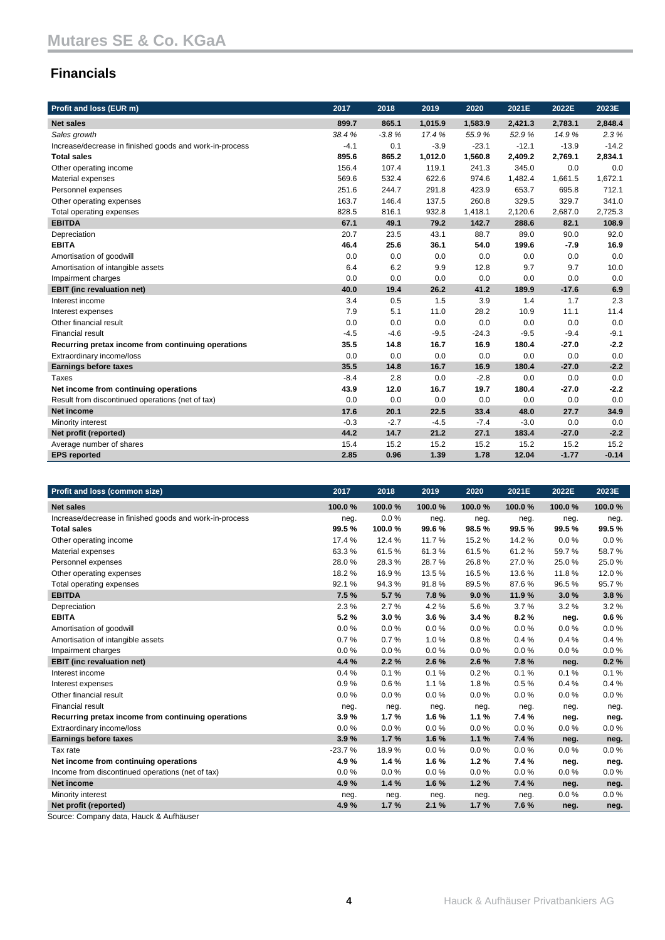## **Financials**

| Profit and loss (EUR m)                                 | 2017   | 2018    | 2019    | 2020    | 2021E   | 2022E   | 2023E   |
|---------------------------------------------------------|--------|---------|---------|---------|---------|---------|---------|
| <b>Net sales</b>                                        | 899.7  | 865.1   | 1,015.9 | 1,583.9 | 2,421.3 | 2,783.1 | 2,848.4 |
| Sales growth                                            | 38.4%  | $-3.8%$ | 17.4%   | 55.9%   | 52.9%   | 14.9%   | 2.3%    |
| Increase/decrease in finished goods and work-in-process | $-4.1$ | 0.1     | $-3.9$  | $-23.1$ | $-12.1$ | $-13.9$ | $-14.2$ |
| <b>Total sales</b>                                      | 895.6  | 865.2   | 1,012.0 | 1,560.8 | 2,409.2 | 2,769.1 | 2,834.1 |
| Other operating income                                  | 156.4  | 107.4   | 119.1   | 241.3   | 345.0   | 0.0     | 0.0     |
| Material expenses                                       | 569.6  | 532.4   | 622.6   | 974.6   | 1,482.4 | 1,661.5 | 1,672.1 |
| Personnel expenses                                      | 251.6  | 244.7   | 291.8   | 423.9   | 653.7   | 695.8   | 712.1   |
| Other operating expenses                                | 163.7  | 146.4   | 137.5   | 260.8   | 329.5   | 329.7   | 341.0   |
| Total operating expenses                                | 828.5  | 816.1   | 932.8   | 1,418.1 | 2,120.6 | 2,687.0 | 2,725.3 |
| <b>EBITDA</b>                                           | 67.1   | 49.1    | 79.2    | 142.7   | 288.6   | 82.1    | 108.9   |
| Depreciation                                            | 20.7   | 23.5    | 43.1    | 88.7    | 89.0    | 90.0    | 92.0    |
| <b>EBITA</b>                                            | 46.4   | 25.6    | 36.1    | 54.0    | 199.6   | $-7.9$  | 16.9    |
| Amortisation of goodwill                                | 0.0    | 0.0     | 0.0     | 0.0     | 0.0     | 0.0     | 0.0     |
| Amortisation of intangible assets                       | 6.4    | 6.2     | 9.9     | 12.8    | 9.7     | 9.7     | 10.0    |
| Impairment charges                                      | 0.0    | 0.0     | 0.0     | 0.0     | 0.0     | 0.0     | 0.0     |
| <b>EBIT</b> (inc revaluation net)                       | 40.0   | 19.4    | 26.2    | 41.2    | 189.9   | $-17.6$ | 6.9     |
| Interest income                                         | 3.4    | 0.5     | 1.5     | 3.9     | 1.4     | 1.7     | 2.3     |
| Interest expenses                                       | 7.9    | 5.1     | 11.0    | 28.2    | 10.9    | 11.1    | 11.4    |
| Other financial result                                  | 0.0    | 0.0     | 0.0     | 0.0     | 0.0     | 0.0     | 0.0     |
| <b>Financial result</b>                                 | $-4.5$ | $-4.6$  | $-9.5$  | $-24.3$ | $-9.5$  | $-9.4$  | $-9.1$  |
| Recurring pretax income from continuing operations      | 35.5   | 14.8    | 16.7    | 16.9    | 180.4   | $-27.0$ | $-2.2$  |
| Extraordinary income/loss                               | 0.0    | 0.0     | 0.0     | 0.0     | 0.0     | 0.0     | 0.0     |
| <b>Earnings before taxes</b>                            | 35.5   | 14.8    | 16.7    | 16.9    | 180.4   | $-27.0$ | $-2.2$  |
| Taxes                                                   | $-8.4$ | 2.8     | 0.0     | $-2.8$  | 0.0     | 0.0     | 0.0     |
| Net income from continuing operations                   | 43.9   | 12.0    | 16.7    | 19.7    | 180.4   | $-27.0$ | $-2.2$  |
| Result from discontinued operations (net of tax)        | 0.0    | 0.0     | 0.0     | 0.0     | 0.0     | 0.0     | 0.0     |
| <b>Net income</b>                                       | 17.6   | 20.1    | 22.5    | 33.4    | 48.0    | 27.7    | 34.9    |
| Minority interest                                       | $-0.3$ | $-2.7$  | $-4.5$  | $-7.4$  | $-3.0$  | 0.0     | 0.0     |
| Net profit (reported)                                   | 44.2   | 14.7    | 21.2    | 27.1    | 183.4   | $-27.0$ | $-2.2$  |
| Average number of shares                                | 15.4   | 15.2    | 15.2    | 15.2    | 15.2    | 15.2    | 15.2    |
| <b>EPS</b> reported                                     | 2.85   | 0.96    | 1.39    | 1.78    | 12.04   | $-1.77$ | $-0.14$ |

| Profit and loss (common size)                           | 2017     | 2018   | 2019   | 2020     | 2021E  | 2022E  | 2023E  |
|---------------------------------------------------------|----------|--------|--------|----------|--------|--------|--------|
| <b>Net sales</b>                                        | 100.0%   | 100.0% | 100.0% | 100.0%   | 100.0% | 100.0% | 100.0% |
| Increase/decrease in finished goods and work-in-process | neg.     | 0.0%   | neg.   | neg.     | neg.   | neg.   | neg.   |
| <b>Total sales</b>                                      | 99.5%    | 100.0% | 99.6%  | 98.5%    | 99.5%  | 99.5%  | 99.5%  |
| Other operating income                                  | 17.4 %   | 12.4 % | 11.7%  | 15.2 %   | 14.2 % | 0.0%   | 0.0%   |
| Material expenses                                       | 63.3%    | 61.5%  | 61.3%  | 61.5%    | 61.2%  | 59.7%  | 58.7%  |
| Personnel expenses                                      | 28.0%    | 28.3%  | 28.7%  | 26.8%    | 27.0%  | 25.0%  | 25.0%  |
| Other operating expenses                                | 18.2%    | 16.9%  | 13.5%  | 16.5%    | 13.6%  | 11.8%  | 12.0%  |
| Total operating expenses                                | 92.1%    | 94.3%  | 91.8%  | 89.5%    | 87.6%  | 96.5%  | 95.7%  |
| <b>EBITDA</b>                                           | 7.5 %    | 5.7%   | 7.8%   | 9.0%     | 11.9%  | 3.0%   | 3.8%   |
| Depreciation                                            | 2.3%     | 2.7%   | 4.2%   | 5.6%     | 3.7%   | 3.2%   | 3.2%   |
| <b>EBITA</b>                                            | 5.2%     | 3.0%   | 3.6%   | 3.4%     | 8.2%   | neg.   | 0.6%   |
| Amortisation of goodwill                                | 0.0%     | 0.0%   | 0.0%   | 0.0%     | 0.0%   | 0.0%   | 0.0%   |
| Amortisation of intangible assets                       | 0.7%     | 0.7%   | 1.0%   | 0.8%     | 0.4%   | 0.4%   | 0.4%   |
| Impairment charges                                      | 0.0%     | 0.0%   | 0.0%   | $0.0 \%$ | 0.0%   | 0.0%   | 0.0%   |
| <b>EBIT</b> (inc revaluation net)                       | 4.4 %    | 2.2%   | 2.6%   | 2.6%     | 7.8%   | neg.   | 0.2%   |
| Interest income                                         | 0.4%     | 0.1%   | 0.1%   | 0.2%     | 0.1%   | 0.1%   | 0.1%   |
| Interest expenses                                       | 0.9%     | 0.6%   | 1.1%   | 1.8%     | 0.5%   | 0.4%   | 0.4%   |
| Other financial result                                  | 0.0%     | 0.0%   | 0.0%   | 0.0%     | 0.0%   | 0.0%   | 0.0%   |
| <b>Financial result</b>                                 | neg.     | neg.   | neg.   | neg.     | neg.   | neg.   | neg.   |
| Recurring pretax income from continuing operations      | 3.9%     | 1.7%   | 1.6%   | 1.1%     | 7.4 %  | neg.   | neg.   |
| Extraordinary income/loss                               | $0.0 \%$ | 0.0%   | 0.0%   | 0.0%     | 0.0%   | 0.0%   | 0.0%   |
| <b>Earnings before taxes</b>                            | 3.9%     | 1.7%   | 1.6%   | 1.1%     | 7.4 %  | neg.   | neg.   |
| Tax rate                                                | $-23.7%$ | 18.9%  | 0.0%   | 0.0%     | 0.0%   | 0.0%   | 0.0%   |
| Net income from continuing operations                   | 4.9%     | 1.4%   | 1.6%   | 1.2%     | 7.4 %  | neg.   | neg.   |
| Income from discontinued operations (net of tax)        | 0.0%     | 0.0%   | 0.0%   | 0.0%     | 0.0%   | 0.0%   | 0.0%   |
| Net income                                              | 4.9%     | 1.4%   | 1.6%   | 1.2%     | 7.4 %  | neg.   | neg.   |
| Minority interest                                       | neg.     | neg.   | neg.   | neg.     | neg.   | 0.0%   | 0.0%   |
| Net profit (reported)                                   | 4.9%     | 1.7%   | 2.1%   | 1.7%     | 7.6%   | neg.   | neg.   |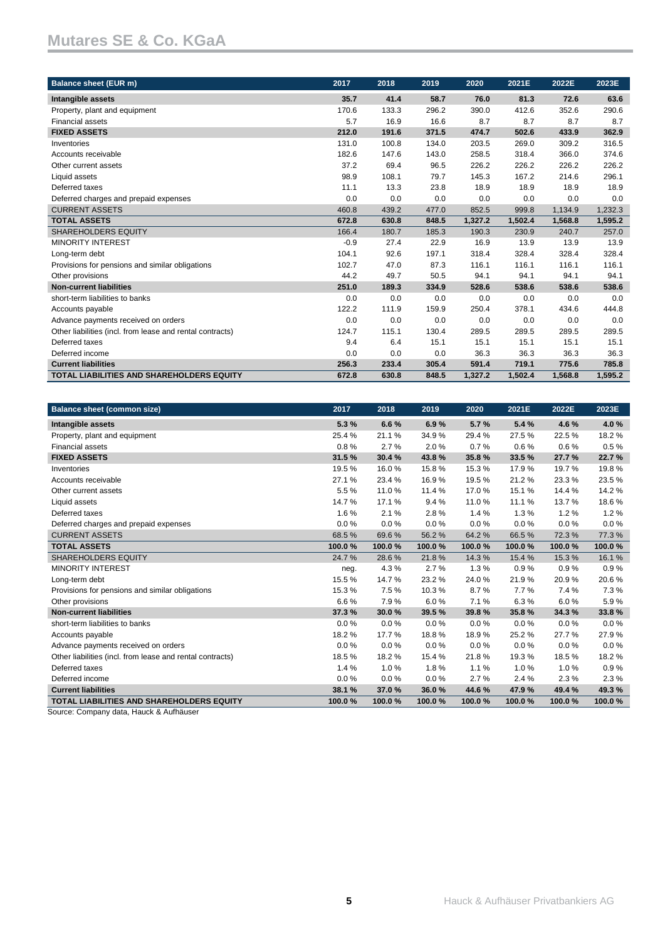| <b>Balance sheet (EUR m)</b>                              | 2017   | 2018  | 2019  | 2020    | 2021E   | 2022E   | 2023E   |
|-----------------------------------------------------------|--------|-------|-------|---------|---------|---------|---------|
| Intangible assets                                         | 35.7   | 41.4  | 58.7  | 76.0    | 81.3    | 72.6    | 63.6    |
| Property, plant and equipment                             | 170.6  | 133.3 | 296.2 | 390.0   | 412.6   | 352.6   | 290.6   |
| <b>Financial assets</b>                                   | 5.7    | 16.9  | 16.6  | 8.7     | 8.7     | 8.7     | 8.7     |
| <b>FIXED ASSETS</b>                                       | 212.0  | 191.6 | 371.5 | 474.7   | 502.6   | 433.9   | 362.9   |
| Inventories                                               | 131.0  | 100.8 | 134.0 | 203.5   | 269.0   | 309.2   | 316.5   |
| Accounts receivable                                       | 182.6  | 147.6 | 143.0 | 258.5   | 318.4   | 366.0   | 374.6   |
| Other current assets                                      | 37.2   | 69.4  | 96.5  | 226.2   | 226.2   | 226.2   | 226.2   |
| Liquid assets                                             | 98.9   | 108.1 | 79.7  | 145.3   | 167.2   | 214.6   | 296.1   |
| Deferred taxes                                            | 11.1   | 13.3  | 23.8  | 18.9    | 18.9    | 18.9    | 18.9    |
| Deferred charges and prepaid expenses                     | 0.0    | 0.0   | 0.0   | 0.0     | 0.0     | 0.0     | 0.0     |
| <b>CURRENT ASSETS</b>                                     | 460.8  | 439.2 | 477.0 | 852.5   | 999.8   | 1,134.9 | 1,232.3 |
| <b>TOTAL ASSETS</b>                                       | 672.8  | 630.8 | 848.5 | 1,327.2 | 1,502.4 | 1,568.8 | 1,595.2 |
| <b>SHAREHOLDERS EQUITY</b>                                | 166.4  | 180.7 | 185.3 | 190.3   | 230.9   | 240.7   | 257.0   |
| <b>MINORITY INTEREST</b>                                  | $-0.9$ | 27.4  | 22.9  | 16.9    | 13.9    | 13.9    | 13.9    |
| Long-term debt                                            | 104.1  | 92.6  | 197.1 | 318.4   | 328.4   | 328.4   | 328.4   |
| Provisions for pensions and similar obligations           | 102.7  | 47.0  | 87.3  | 116.1   | 116.1   | 116.1   | 116.1   |
| Other provisions                                          | 44.2   | 49.7  | 50.5  | 94.1    | 94.1    | 94.1    | 94.1    |
| <b>Non-current liabilities</b>                            | 251.0  | 189.3 | 334.9 | 528.6   | 538.6   | 538.6   | 538.6   |
| short-term liabilities to banks                           | 0.0    | 0.0   | 0.0   | 0.0     | 0.0     | 0.0     | 0.0     |
| Accounts payable                                          | 122.2  | 111.9 | 159.9 | 250.4   | 378.1   | 434.6   | 444.8   |
| Advance payments received on orders                       | 0.0    | 0.0   | 0.0   | 0.0     | 0.0     | 0.0     | 0.0     |
| Other liabilities (incl. from lease and rental contracts) | 124.7  | 115.1 | 130.4 | 289.5   | 289.5   | 289.5   | 289.5   |
| Deferred taxes                                            | 9.4    | 6.4   | 15.1  | 15.1    | 15.1    | 15.1    | 15.1    |
| Deferred income                                           | 0.0    | 0.0   | 0.0   | 36.3    | 36.3    | 36.3    | 36.3    |
| <b>Current liabilities</b>                                | 256.3  | 233.4 | 305.4 | 591.4   | 719.1   | 775.6   | 785.8   |
| <b>TOTAL LIABILITIES AND SHAREHOLDERS EQUITY</b>          | 672.8  | 630.8 | 848.5 | 1.327.2 | 1,502.4 | 1,568.8 | 1,595.2 |

| <b>Balance sheet (common size)</b>                        | 2017   | 2018   | 2019   | 2020   | 2021E  | 2022E  | 2023E  |
|-----------------------------------------------------------|--------|--------|--------|--------|--------|--------|--------|
| Intangible assets                                         | 5.3%   | 6.6%   | 6.9%   | 5.7%   | 5.4%   | 4.6%   | 4.0%   |
| Property, plant and equipment                             | 25.4%  | 21.1%  | 34.9%  | 29.4%  | 27.5%  | 22.5%  | 18.2%  |
| <b>Financial assets</b>                                   | 0.8%   | 2.7%   | 2.0%   | 0.7%   | 0.6%   | 0.6%   | 0.5%   |
| <b>FIXED ASSETS</b>                                       | 31.5 % | 30.4%  | 43.8%  | 35.8%  | 33.5%  | 27.7%  | 22.7%  |
| Inventories                                               | 19.5 % | 16.0%  | 15.8%  | 15.3%  | 17.9%  | 19.7%  | 19.8%  |
| Accounts receivable                                       | 27.1 % | 23.4 % | 16.9%  | 19.5%  | 21.2%  | 23.3%  | 23.5%  |
| Other current assets                                      | 5.5%   | 11.0%  | 11.4%  | 17.0%  | 15.1%  | 14.4%  | 14.2%  |
| Liquid assets                                             | 14.7%  | 17.1%  | 9.4%   | 11.0%  | 11.1%  | 13.7%  | 18.6%  |
| Deferred taxes                                            | 1.6%   | 2.1%   | 2.8%   | 1.4%   | 1.3%   | 1.2%   | 1.2%   |
| Deferred charges and prepaid expenses                     | 0.0%   | 0.0%   | 0.0%   | 0.0%   | 0.0%   | 0.0%   | 0.0%   |
| <b>CURRENT ASSETS</b>                                     | 68.5%  | 69.6%  | 56.2%  | 64.2%  | 66.5%  | 72.3%  | 77.3%  |
| <b>TOTAL ASSETS</b>                                       | 100.0% | 100.0% | 100.0% | 100.0% | 100.0% | 100.0% | 100.0% |
| <b>SHAREHOLDERS EQUITY</b>                                | 24.7%  | 28.6%  | 21.8%  | 14.3%  | 15.4 % | 15.3%  | 16.1%  |
| <b>MINORITY INTEREST</b>                                  | neg.   | 4.3%   | 2.7%   | 1.3%   | 0.9%   | 0.9%   | 0.9%   |
| Long-term debt                                            | 15.5%  | 14.7%  | 23.2%  | 24.0%  | 21.9%  | 20.9%  | 20.6%  |
| Provisions for pensions and similar obligations           | 15.3%  | 7.5%   | 10.3%  | 8.7%   | 7.7%   | 7.4%   | 7.3%   |
| Other provisions                                          | 6.6%   | 7.9%   | 6.0%   | 7.1%   | 6.3%   | 6.0%   | 5.9%   |
| <b>Non-current liabilities</b>                            | 37.3%  | 30.0%  | 39.5%  | 39.8%  | 35.8%  | 34.3%  | 33.8%  |
| short-term liabilities to banks                           | 0.0%   | 0.0%   | 0.0%   | 0.0%   | 0.0%   | 0.0%   | 0.0%   |
| Accounts payable                                          | 18.2%  | 17.7%  | 18.8%  | 18.9%  | 25.2%  | 27.7%  | 27.9%  |
| Advance payments received on orders                       | 0.0%   | 0.0%   | 0.0%   | 0.0%   | 0.0%   | 0.0%   | 0.0%   |
| Other liabilities (incl. from lease and rental contracts) | 18.5%  | 18.2%  | 15.4 % | 21.8%  | 19.3%  | 18.5%  | 18.2%  |
| Deferred taxes                                            | 1.4%   | 1.0%   | 1.8%   | 1.1%   | 1.0%   | 1.0%   | 0.9%   |
| Deferred income                                           | 0.0%   | 0.0%   | 0.0%   | 2.7%   | 2.4%   | 2.3%   | 2.3%   |
| <b>Current liabilities</b>                                | 38.1 % | 37.0%  | 36.0%  | 44.6%  | 47.9%  | 49.4%  | 49.3%  |
| <b>TOTAL LIABILITIES AND SHAREHOLDERS EQUITY</b>          | 100.0% | 100.0% | 100.0% | 100.0% | 100.0% | 100.0% | 100.0% |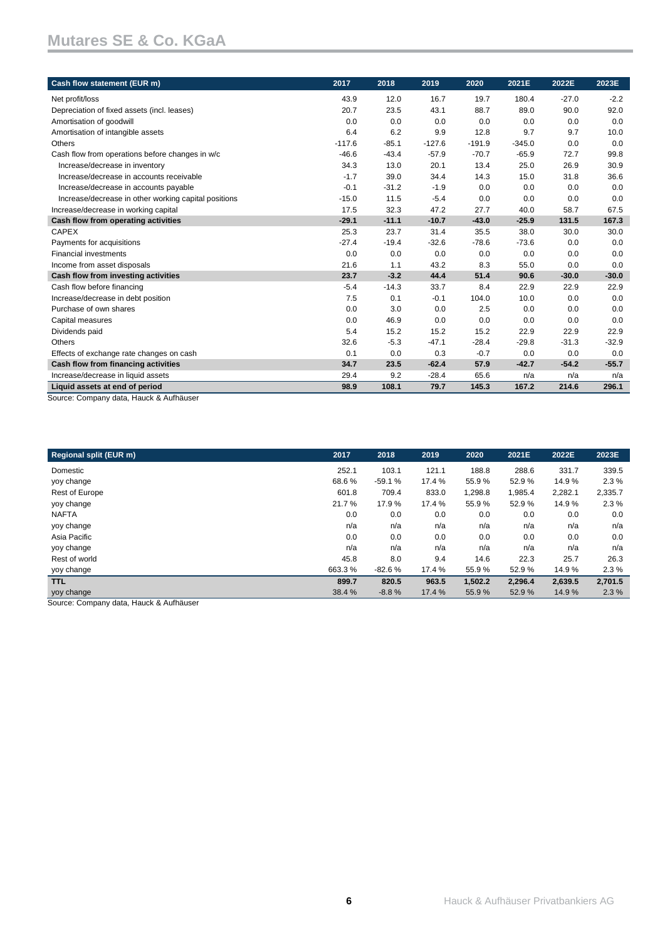| Cash flow statement (EUR m)                                               | 2017     | 2018    | 2019     | 2020     | 2021E    | 2022E   | 2023E   |
|---------------------------------------------------------------------------|----------|---------|----------|----------|----------|---------|---------|
| Net profit/loss                                                           | 43.9     | 12.0    | 16.7     | 19.7     | 180.4    | $-27.0$ | $-2.2$  |
| Depreciation of fixed assets (incl. leases)                               | 20.7     | 23.5    | 43.1     | 88.7     | 89.0     | 90.0    | 92.0    |
| Amortisation of goodwill                                                  | 0.0      | 0.0     | 0.0      | 0.0      | 0.0      | 0.0     | 0.0     |
| Amortisation of intangible assets                                         | 6.4      | 6.2     | 9.9      | 12.8     | 9.7      | 9.7     | 10.0    |
| Others                                                                    | $-117.6$ | $-85.1$ | $-127.6$ | $-191.9$ | $-345.0$ | 0.0     | 0.0     |
| Cash flow from operations before changes in w/c                           | $-46.6$  | $-43.4$ | $-57.9$  | $-70.7$  | $-65.9$  | 72.7    | 99.8    |
| Increase/decrease in inventory                                            | 34.3     | 13.0    | 20.1     | 13.4     | 25.0     | 26.9    | 30.9    |
| Increase/decrease in accounts receivable                                  | $-1.7$   | 39.0    | 34.4     | 14.3     | 15.0     | 31.8    | 36.6    |
| Increase/decrease in accounts payable                                     | $-0.1$   | $-31.2$ | $-1.9$   | 0.0      | 0.0      | 0.0     | 0.0     |
| Increase/decrease in other working capital positions                      | $-15.0$  | 11.5    | $-5.4$   | 0.0      | 0.0      | 0.0     | 0.0     |
| Increase/decrease in working capital                                      | 17.5     | 32.3    | 47.2     | 27.7     | 40.0     | 58.7    | 67.5    |
| Cash flow from operating activities                                       | $-29.1$  | $-11.1$ | $-10.7$  | $-43.0$  | $-25.9$  | 131.5   | 167.3   |
| <b>CAPEX</b>                                                              | 25.3     | 23.7    | 31.4     | 35.5     | 38.0     | 30.0    | 30.0    |
| Payments for acquisitions                                                 | $-27.4$  | $-19.4$ | $-32.6$  | $-78.6$  | $-73.6$  | 0.0     | 0.0     |
| <b>Financial investments</b>                                              | 0.0      | 0.0     | 0.0      | 0.0      | 0.0      | 0.0     | 0.0     |
| Income from asset disposals                                               | 21.6     | 1.1     | 43.2     | 8.3      | 55.0     | 0.0     | 0.0     |
| Cash flow from investing activities                                       | 23.7     | $-3.2$  | 44.4     | 51.4     | 90.6     | $-30.0$ | $-30.0$ |
| Cash flow before financing                                                | $-5.4$   | $-14.3$ | 33.7     | 8.4      | 22.9     | 22.9    | 22.9    |
| Increase/decrease in debt position                                        | 7.5      | 0.1     | $-0.1$   | 104.0    | 10.0     | 0.0     | 0.0     |
| Purchase of own shares                                                    | 0.0      | 3.0     | 0.0      | 2.5      | 0.0      | 0.0     | 0.0     |
| Capital measures                                                          | 0.0      | 46.9    | 0.0      | 0.0      | 0.0      | 0.0     | 0.0     |
| Dividends paid                                                            | 5.4      | 15.2    | 15.2     | 15.2     | 22.9     | 22.9    | 22.9    |
| Others                                                                    | 32.6     | $-5.3$  | $-47.1$  | $-28.4$  | $-29.8$  | $-31.3$ | $-32.9$ |
| Effects of exchange rate changes on cash                                  | 0.1      | 0.0     | 0.3      | $-0.7$   | 0.0      | 0.0     | 0.0     |
| Cash flow from financing activities                                       | 34.7     | 23.5    | $-62.4$  | 57.9     | $-42.7$  | $-54.2$ | $-55.7$ |
| Increase/decrease in liquid assets                                        | 29.4     | 9.2     | $-28.4$  | 65.6     | n/a      | n/a     | n/a     |
| Liquid assets at end of period<br>Course: Company data Hough & Authöriser | 98.9     | 108.1   | 79.7     | 145.3    | 167.2    | 214.6   | 296.1   |

Source: Company data, Hauck & Aufhäuser

| 2017   | 2018     | 2019   | 2020    | 2021E   | 2022E   | 2023E   |
|--------|----------|--------|---------|---------|---------|---------|
| 252.1  | 103.1    | 121.1  | 188.8   | 288.6   | 331.7   | 339.5   |
| 68.6%  | $-59.1%$ | 17.4 % | 55.9%   | 52.9%   | 14.9%   | $2.3\%$ |
| 601.8  | 709.4    | 833.0  | 1,298.8 | 1,985.4 | 2,282.1 | 2,335.7 |
| 21.7%  | 17.9%    | 17.4 % | 55.9%   | 52.9%   | 14.9%   | 2.3%    |
| 0.0    | 0.0      | 0.0    | 0.0     | 0.0     | 0.0     | 0.0     |
| n/a    | n/a      | n/a    | n/a     | n/a     | n/a     | n/a     |
| 0.0    | 0.0      | 0.0    | 0.0     | 0.0     | 0.0     | 0.0     |
| n/a    | n/a      | n/a    | n/a     | n/a     | n/a     | n/a     |
| 45.8   | 8.0      | 9.4    | 14.6    | 22.3    | 25.7    | 26.3    |
| 663.3% | $-82.6%$ | 17.4 % | 55.9%   | 52.9%   | 14.9%   | 2.3%    |
| 899.7  | 820.5    | 963.5  | 1,502.2 | 2,296.4 | 2,639.5 | 2,701.5 |
| 38.4 % | $-8.8%$  | 17.4 % | 55.9%   | 52.9%   | 14.9%   | 2.3%    |
|        |          |        |         |         |         |         |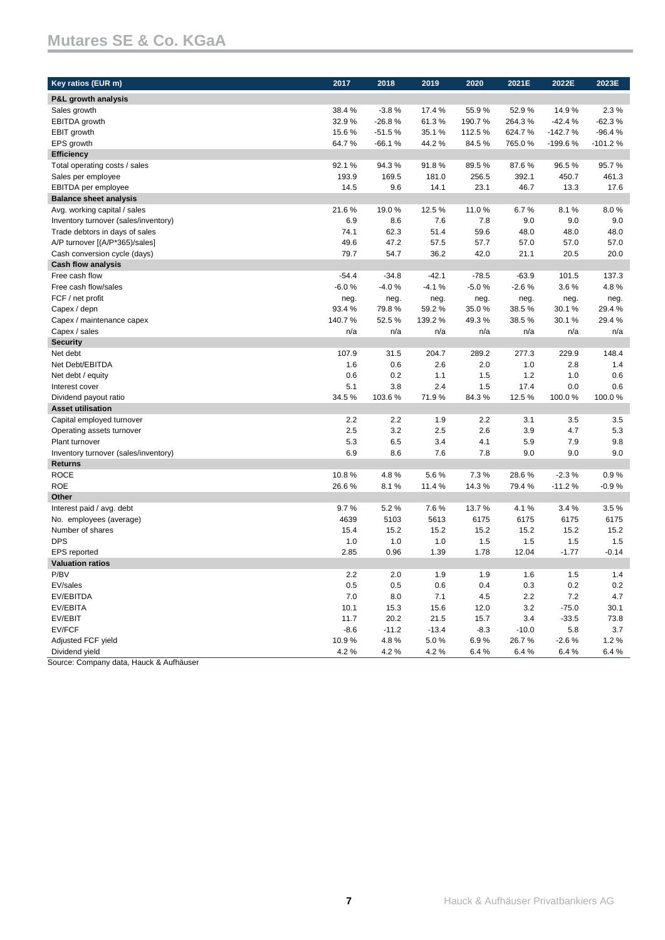| Key ratios (EUR m)                   | 2017    | 2018     | 2019    | 2020    | 2021E   | 2022E     | 2023E     |
|--------------------------------------|---------|----------|---------|---------|---------|-----------|-----------|
| P&L growth analysis                  |         |          |         |         |         |           |           |
| Sales growth                         | 38.4%   | $-3.8%$  | 17.4 %  | 55.9%   | 52.9%   | 14.9%     | 2.3%      |
| <b>EBITDA</b> growth                 | 32.9%   | $-26.8%$ | 61.3%   | 190.7%  | 264.3%  | $-42.4%$  | $-62.3%$  |
| EBIT growth                          | 15.6%   | $-51.5%$ | 35.1%   | 112.5%  | 624.7%  | $-142.7%$ | $-96.4%$  |
| EPS growth                           | 64.7%   | $-66.1%$ | 44.2%   | 84.5%   | 765.0%  | $-199.6%$ | $-101.2%$ |
| <b>Efficiency</b>                    |         |          |         |         |         |           |           |
| Total operating costs / sales        | 92.1%   | 94.3%    | 91.8%   | 89.5%   | 87.6%   | 96.5%     | 95.7%     |
| Sales per employee                   | 193.9   | 169.5    | 181.0   | 256.5   | 392.1   | 450.7     | 461.3     |
| EBITDA per employee                  | 14.5    | 9.6      | 14.1    | 23.1    | 46.7    | 13.3      | 17.6      |
| <b>Balance sheet analysis</b>        |         |          |         |         |         |           |           |
| Avg. working capital / sales         | 21.6%   | 19.0%    | 12.5%   | 11.0%   | 6.7%    | 8.1%      | 8.0%      |
| Inventory turnover (sales/inventory) | 6.9     | 8.6      | 7.6     | 7.8     | 9.0     | 9.0       | 9.0       |
| Trade debtors in days of sales       | 74.1    | 62.3     | 51.4    | 59.6    | 48.0    | 48.0      | 48.0      |
| A/P turnover [(A/P*365)/sales]       | 49.6    | 47.2     | 57.5    | 57.7    | 57.0    | 57.0      | 57.0      |
| Cash conversion cycle (days)         | 79.7    | 54.7     | 36.2    | 42.0    | 21.1    | 20.5      | 20.0      |
| <b>Cash flow analysis</b>            |         |          |         |         |         |           |           |
| Free cash flow                       | $-54.4$ | $-34.8$  | $-42.1$ | $-78.5$ | $-63.9$ | 101.5     | 137.3     |
| Free cash flow/sales                 | $-6.0%$ | $-4.0%$  | $-4.1%$ | $-5.0%$ | $-2.6%$ | 3.6%      | 4.8%      |
| FCF / net profit                     | neg.    | neg.     | neg.    | neg.    | neg.    | neg.      | neg.      |
| Capex / depn                         | 93.4 %  | 79.8%    | 59.2%   | 35.0%   | 38.5%   | 30.1 %    | 29.4 %    |
| Capex / maintenance capex            | 140.7%  | 52.5%    | 139.2 % | 49.3%   | 38.5%   | 30.1%     | 29.4%     |
| Capex / sales                        | n/a     | n/a      | n/a     | n/a     | n/a     | n/a       | n/a       |
| <b>Security</b>                      |         |          |         |         |         |           |           |
| Net debt                             | 107.9   | 31.5     | 204.7   | 289.2   | 277.3   | 229.9     | 148.4     |
| Net Debt/EBITDA                      | 1.6     | 0.6      | 2.6     | 2.0     | 1.0     | 2.8       | 1.4       |
| Net debt / equity                    | 0.6     | 0.2      | 1.1     | 1.5     | 1.2     | 1.0       | 0.6       |
| Interest cover                       | 5.1     | 3.8      | 2.4     | 1.5     | 17.4    | 0.0       | 0.6       |
| Dividend payout ratio                | 34.5%   | 103.6%   | 71.9%   | 84.3%   | 12.5%   | 100.0%    | 100.0%    |
| <b>Asset utilisation</b>             |         |          |         |         |         |           |           |
| Capital employed turnover            | 2.2     | 2.2      | 1.9     | 2.2     | 3.1     | 3.5       | 3.5       |
| Operating assets turnover            | 2.5     | 3.2      | 2.5     | 2.6     | 3.9     | 4.7       | 5.3       |
| Plant turnover                       | 5.3     | 6.5      | 3.4     | 4.1     | 5.9     | 7.9       | 9.8       |
| Inventory turnover (sales/inventory) | 6.9     | 8.6      | 7.6     | 7.8     | 9.0     | 9.0       | 9.0       |
| <b>Returns</b>                       |         |          |         |         |         |           |           |
| <b>ROCE</b>                          | 10.8%   | 4.8%     | 5.6%    | 7.3%    | 28.6%   | $-2.3%$   | 0.9%      |
| <b>ROE</b>                           | 26.6%   | 8.1%     | 11.4%   | 14.3%   | 79.4%   | $-11.2%$  | $-0.9%$   |
| Other                                |         |          |         |         |         |           |           |
| Interest paid / avg. debt            | 9.7%    | 5.2%     | 7.6%    | 13.7%   | 4.1%    | 3.4%      | 3.5%      |
| No. employees (average)              | 4639    | 5103     | 5613    | 6175    | 6175    | 6175      | 6175      |
| Number of shares                     | 15.4    | 15.2     | 15.2    | 15.2    | 15.2    | 15.2      | 15.2      |
| <b>DPS</b>                           | 1.0     | 1.0      | 1.0     | 1.5     | 1.5     | 1.5       | 1.5       |
| <b>EPS</b> reported                  | 2.85    | 0.96     | 1.39    | 1.78    | 12.04   | $-1.77$   | $-0.14$   |
| <b>Valuation ratios</b>              |         |          |         |         |         |           |           |
| P/BV                                 | $2.2\,$ | 2.0      | 1.9     | 1.9     | 1.6     | $1.5$     | 1.4       |
| EV/sales                             | 0.5     | 0.5      | 0.6     | 0.4     | 0.3     | 0.2       | $0.2\,$   |
| EV/EBITDA                            | 7.0     | 8.0      | 7.1     | 4.5     | 2.2     | 7.2       | 4.7       |
| EV/EBITA                             | 10.1    | 15.3     | 15.6    | 12.0    | 3.2     | $-75.0$   | 30.1      |
| EV/EBIT                              | 11.7    | 20.2     | 21.5    | 15.7    | 3.4     | $-33.5$   | 73.8      |
| EV/FCF                               | $-8.6$  | $-11.2$  | $-13.4$ | $-8.3$  | $-10.0$ | 5.8       | 3.7       |
| Adjusted FCF yield                   | 10.9%   | 4.8%     | 5.0%    | 6.9%    | 26.7%   | $-2.6%$   | 1.2%      |
| Dividend yield                       | 4.2%    | 4.2%     | 4.2%    | 6.4%    | 6.4%    | 6.4%      | 6.4%      |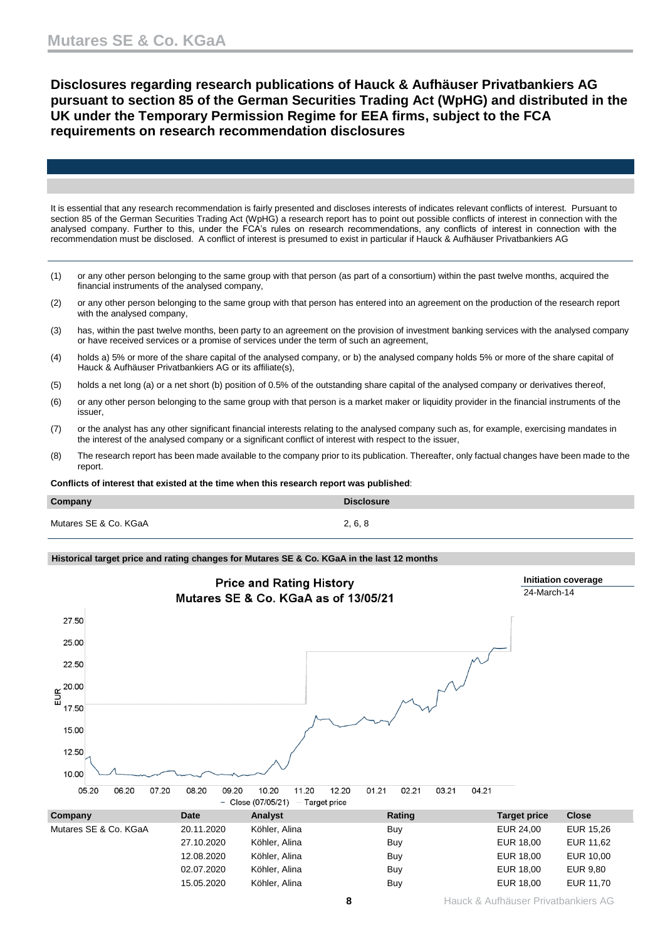**Disclosures regarding research publications of Hauck & Aufhäuser Privatbankiers AG pursuant to section 85 of the German Securities Trading Act (WpHG) and distributed in the UK under the Temporary Permission Regime for EEA firms, subject to the FCA requirements on research recommendation disclosures**

It is essential that any research recommendation is fairly presented and discloses interests of indicates relevant conflicts of interest. Pursuant to section 85 of the German Securities Trading Act (WpHG) a research report has to point out possible conflicts of interest in connection with the analysed company. Further to this, under the FCA's rules on research recommendations, any conflicts of interest in connection with the recommendation must be disclosed. A conflict of interest is presumed to exist in particular if Hauck & Aufhäuser Privatbankiers AG

- (1) or any other person belonging to the same group with that person (as part of a consortium) within the past twelve months, acquired the financial instruments of the analysed company,
- (2) or any other person belonging to the same group with that person has entered into an agreement on the production of the research report with the analysed company,
- (3) has, within the past twelve months, been party to an agreement on the provision of investment banking services with the analysed company or have received services or a promise of services under the term of such an agreement,
- (4) holds a) 5% or more of the share capital of the analysed company, or b) the analysed company holds 5% or more of the share capital of Hauck & Aufhäuser Privatbankiers AG or its affiliate(s),
- (5) holds a net long (a) or a net short (b) position of 0.5% of the outstanding share capital of the analysed company or derivatives thereof,
- (6) or any other person belonging to the same group with that person is a market maker or liquidity provider in the financial instruments of the issuer,
- (7) or the analyst has any other significant financial interests relating to the analysed company such as, for example, exercising mandates in the interest of the analysed company or a significant conflict of interest with respect to the issuer,
- (8) The research report has been made available to the company prior to its publication. Thereafter, only factual changes have been made to the report.

**Conflicts of interest that existed at the time when this research report was published**:

| Company               | <b>Disclosure</b> |
|-----------------------|-------------------|
| Mutares SE & Co. KGaA | 2, 6, 8           |

## **Historical target price and rating changes for Mutares SE & Co. KGaA in the last 12 months**

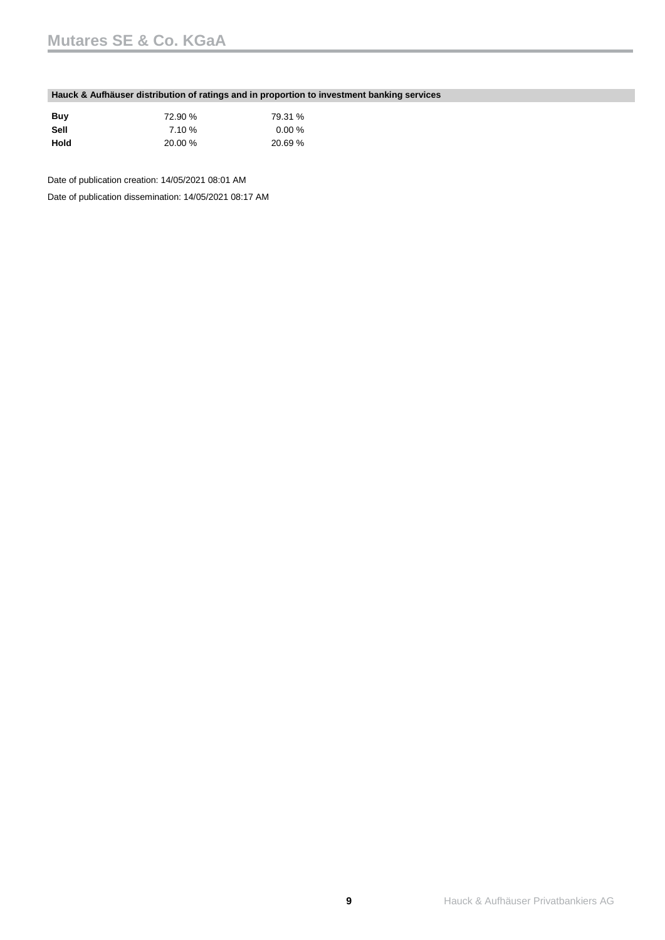## **Hauck & Aufhäuser distribution of ratings and in proportion to investment banking services**

| Buv  | 72.90 % | 79.31 %   |
|------|---------|-----------|
| Sell | 7.10 %  | $0.00 \%$ |
| Hold | 20.00 % | 20.69 %   |

Date of publication creation: 14/05/2021 08:01 AM

Date of publication dissemination: 14/05/2021 08:17 AM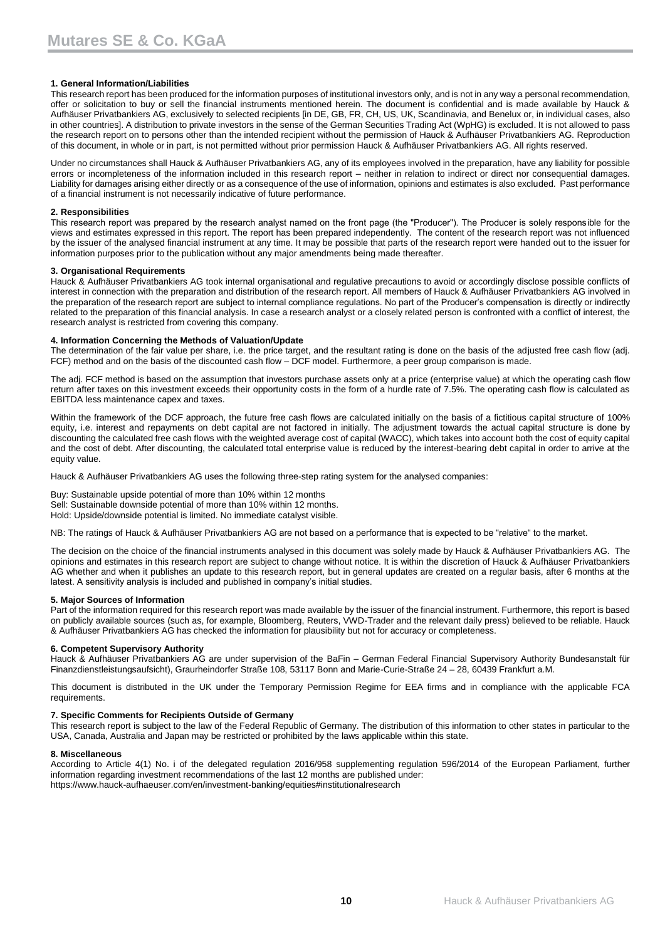## **1. General Information/Liabilities**

This research report has been produced for the information purposes of institutional investors only, and is not in any way a personal recommendation, offer or solicitation to buy or sell the financial instruments mentioned herein. The document is confidential and is made available by Hauck & Aufhäuser Privatbankiers AG, exclusively to selected recipients [in DE, GB, FR, CH, US, UK, Scandinavia, and Benelux or, in individual cases, also in other countries]. A distribution to private investors in the sense of the German Securities Trading Act (WpHG) is excluded. It is not allowed to pass the research report on to persons other than the intended recipient without the permission of Hauck & Aufhäuser Privatbankiers AG. Reproduction of this document, in whole or in part, is not permitted without prior permission Hauck & Aufhäuser Privatbankiers AG. All rights reserved.

Under no circumstances shall Hauck & Aufhäuser Privatbankiers AG, any of its employees involved in the preparation, have any liability for possible errors or incompleteness of the information included in this research report – neither in relation to indirect or direct nor consequential damages. Liability for damages arising either directly or as a consequence of the use of information, opinions and estimates is also excluded. Past performance of a financial instrument is not necessarily indicative of future performance.

### **2. Responsibilities**

This research report was prepared by the research analyst named on the front page (the "Producer"). The Producer is solely responsible for the views and estimates expressed in this report. The report has been prepared independently. The content of the research report was not influenced by the issuer of the analysed financial instrument at any time. It may be possible that parts of the research report were handed out to the issuer for information purposes prior to the publication without any major amendments being made thereafter.

### **3. Organisational Requirements**

Hauck & Aufhäuser Privatbankiers AG took internal organisational and regulative precautions to avoid or accordingly disclose possible conflicts of interest in connection with the preparation and distribution of the research report. All members of Hauck & Aufhäuser Privatbankiers AG involved in the preparation of the research report are subject to internal compliance regulations. No part of the Producer's compensation is directly or indirectly related to the preparation of this financial analysis. In case a research analyst or a closely related person is confronted with a conflict of interest, the research analyst is restricted from covering this company.

### **4. Information Concerning the Methods of Valuation/Update**

The determination of the fair value per share, i.e. the price target, and the resultant rating is done on the basis of the adjusted free cash flow (adj. FCF) method and on the basis of the discounted cash flow – DCF model. Furthermore, a peer group comparison is made.

The adj. FCF method is based on the assumption that investors purchase assets only at a price (enterprise value) at which the operating cash flow return after taxes on this investment exceeds their opportunity costs in the form of a hurdle rate of 7.5%. The operating cash flow is calculated as EBITDA less maintenance capex and taxes.

Within the framework of the DCF approach, the future free cash flows are calculated initially on the basis of a fictitious capital structure of 100% equity, i.e. interest and repayments on debt capital are not factored in initially. The adjustment towards the actual capital structure is done by discounting the calculated free cash flows with the weighted average cost of capital (WACC), which takes into account both the cost of equity capital and the cost of debt. After discounting, the calculated total enterprise value is reduced by the interest-bearing debt capital in order to arrive at the equity value.

Hauck & Aufhäuser Privatbankiers AG uses the following three-step rating system for the analysed companies:

Buy: Sustainable upside potential of more than 10% within 12 months Sell: Sustainable downside potential of more than 10% within 12 months. Hold: Upside/downside potential is limited. No immediate catalyst visible.

NB: The ratings of Hauck & Aufhäuser Privatbankiers AG are not based on a performance that is expected to be "relative" to the market.

The decision on the choice of the financial instruments analysed in this document was solely made by Hauck & Aufhäuser Privatbankiers AG. The opinions and estimates in this research report are subject to change without notice. It is within the discretion of Hauck & Aufhäuser Privatbankiers AG whether and when it publishes an update to this research report, but in general updates are created on a regular basis, after 6 months at the latest. A sensitivity analysis is included and published in company's initial studies.

#### **5. Major Sources of Information**

Part of the information required for this research report was made available by the issuer of the financial instrument. Furthermore, this report is based on publicly available sources (such as, for example, Bloomberg, Reuters, VWD-Trader and the relevant daily press) believed to be reliable. Hauck & Aufhäuser Privatbankiers AG has checked the information for plausibility but not for accuracy or completeness.

## **6. Competent Supervisory Authority**

Hauck & Aufhäuser Privatbankiers AG are under supervision of the BaFin – German Federal Financial Supervisory Authority Bundesanstalt für Finanzdienstleistungsaufsicht), Graurheindorfer Straße 108, 53117 Bonn and Marie-Curie-Straße 24 – 28, 60439 Frankfurt a.M.

This document is distributed in the UK under the Temporary Permission Regime for EEA firms and in compliance with the applicable FCA requirements.

#### **7. Specific Comments for Recipients Outside of Germany**

This research report is subject to the law of the Federal Republic of Germany. The distribution of this information to other states in particular to the USA, Canada, Australia and Japan may be restricted or prohibited by the laws applicable within this state.

#### **8. Miscellaneous**

According to Article 4(1) No. i of the delegated regulation 2016/958 supplementing regulation 596/2014 of the European Parliament, further information regarding investment recommendations of the last 12 months are published under: https://www.hauck-aufhaeuser.com/en/investment-banking/equities#institutionalresearch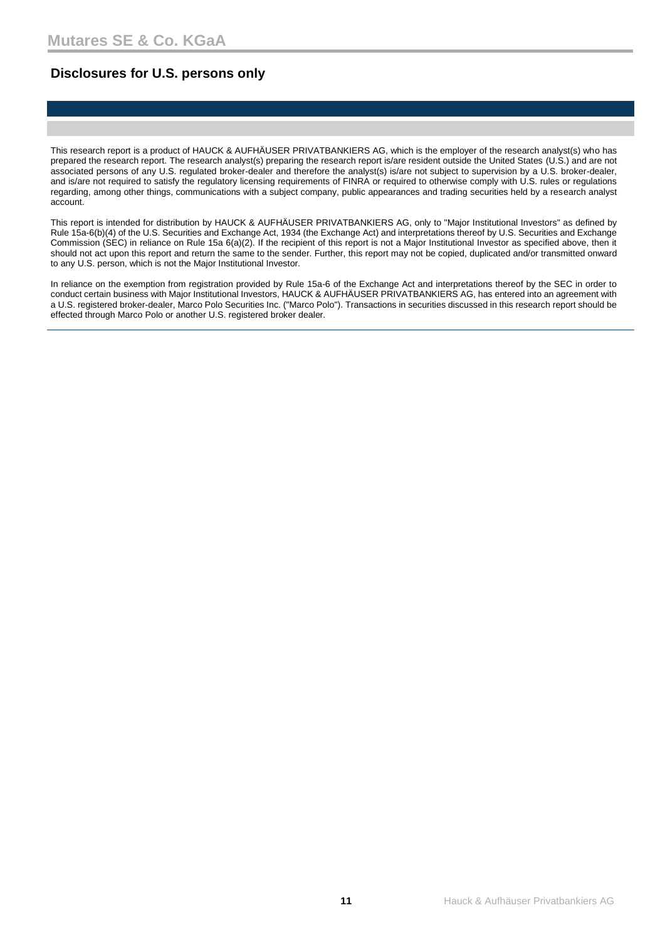## **Disclosures for U.S. persons only**

This research report is a product of HAUCK & AUFHÄUSER PRIVATBANKIERS AG, which is the employer of the research analyst(s) who has prepared the research report. The research analyst(s) preparing the research report is/are resident outside the United States (U.S.) and are not associated persons of any U.S. regulated broker-dealer and therefore the analyst(s) is/are not subject to supervision by a U.S. broker-dealer, and is/are not required to satisfy the regulatory licensing requirements of FINRA or required to otherwise comply with U.S. rules or regulations regarding, among other things, communications with a subject company, public appearances and trading securities held by a research analyst account.

This report is intended for distribution by HAUCK & AUFHÄUSER PRIVATBANKIERS AG, only to "Major Institutional Investors" as defined by Rule 15a-6(b)(4) of the U.S. Securities and Exchange Act, 1934 (the Exchange Act) and interpretations thereof by U.S. Securities and Exchange Commission (SEC) in reliance on Rule 15a 6(a)(2). If the recipient of this report is not a Major Institutional Investor as specified above, then it should not act upon this report and return the same to the sender. Further, this report may not be copied, duplicated and/or transmitted onward to any U.S. person, which is not the Major Institutional Investor.

In reliance on the exemption from registration provided by Rule 15a-6 of the Exchange Act and interpretations thereof by the SEC in order to conduct certain business with Major Institutional Investors, HAUCK & AUFHÄUSER PRIVATBANKIERS AG, has entered into an agreement with a U.S. registered broker-dealer, Marco Polo Securities Inc. ("Marco Polo"). Transactions in securities discussed in this research report should be effected through Marco Polo or another U.S. registered broker dealer.